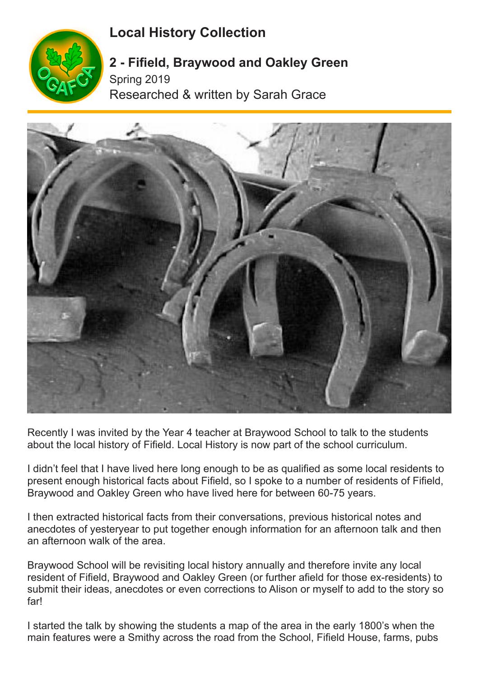## **Local History Collection**



## **2 - Fifield, Braywood and Oakley Green** Spring 2019 Researched & written by Sarah Grace



Recently I was invited by the Year 4 teacher at Braywood School to talk to the students about the local history of Fifield. Local History is now part of the school curriculum.

I didn't feel that I have lived here long enough to be as qualified as some local residents to present enough historical facts about Fifield, so I spoke to a number of residents of Fifield, Braywood and Oakley Green who have lived here for between 60-75 years.

I then extracted historical facts from their conversations, previous historical notes and anecdotes of yesteryear to put together enough information for an afternoon talk and then an afternoon walk of the area.

Braywood School will be revisiting local history annually and therefore invite any local resident of Fifield, Braywood and Oakley Green (or further afield for those ex-residents) to submit their ideas, anecdotes or even corrections to Alison or myself to add to the story so far!

I started the talk by showing the students a map of the area in the early 1800's when the main features were a Smithy across the road from the School, Fifield House, farms, pubs